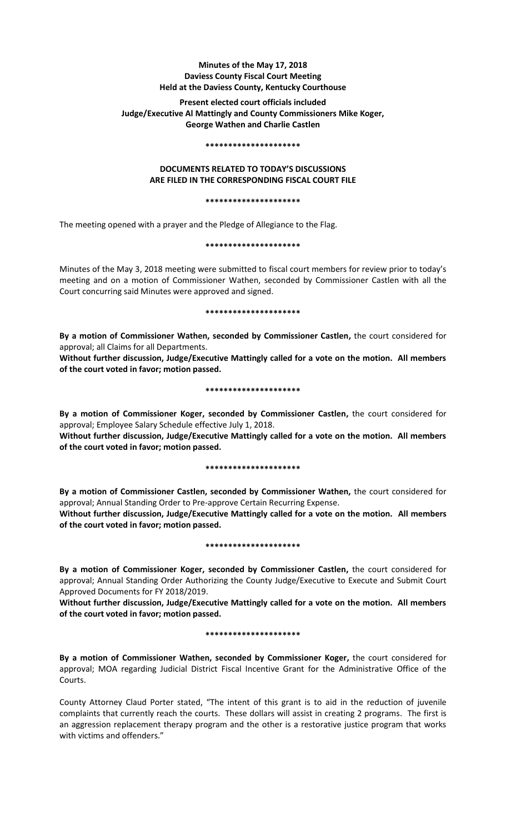# **Minutes of the May 17, 2018 Daviess County Fiscal Court Meeting Held at the Daviess County, Kentucky Courthouse**

# **Present elected court officials included Judge/Executive Al Mattingly and County Commissioners Mike Koger, George Wathen and Charlie Castlen**

#### **\*\*\*\*\*\*\*\*\*\*\*\*\*\*\*\*\*\*\*\*\***

## **DOCUMENTS RELATED TO TODAY'S DISCUSSIONS ARE FILED IN THE CORRESPONDING FISCAL COURT FILE**

#### **\*\*\*\*\*\*\*\*\*\*\*\*\*\*\*\*\*\*\*\*\***

The meeting opened with a prayer and the Pledge of Allegiance to the Flag.

## **\*\*\*\*\*\*\*\*\*\*\*\*\*\*\*\*\*\*\*\*\***

Minutes of the May 3, 2018 meeting were submitted to fiscal court members for review prior to today's meeting and on a motion of Commissioner Wathen, seconded by Commissioner Castlen with all the Court concurring said Minutes were approved and signed.

#### **\*\*\*\*\*\*\*\*\*\*\*\*\*\*\*\*\*\*\*\*\***

**By a motion of Commissioner Wathen, seconded by Commissioner Castlen,** the court considered for approval; all Claims for all Departments.

**Without further discussion, Judge/Executive Mattingly called for a vote on the motion. All members of the court voted in favor; motion passed.** 

#### **\*\*\*\*\*\*\*\*\*\*\*\*\*\*\*\*\*\*\*\*\***

**By a motion of Commissioner Koger, seconded by Commissioner Castlen,** the court considered for approval; Employee Salary Schedule effective July 1, 2018.

**Without further discussion, Judge/Executive Mattingly called for a vote on the motion. All members of the court voted in favor; motion passed.** 

## **\*\*\*\*\*\*\*\*\*\*\*\*\*\*\*\*\*\*\*\*\***

**By a motion of Commissioner Castlen, seconded by Commissioner Wathen,** the court considered for approval; Annual Standing Order to Pre-approve Certain Recurring Expense.

**Without further discussion, Judge/Executive Mattingly called for a vote on the motion. All members of the court voted in favor; motion passed.** 

#### **\*\*\*\*\*\*\*\*\*\*\*\*\*\*\*\*\*\*\*\*\***

**By a motion of Commissioner Koger, seconded by Commissioner Castlen,** the court considered for approval; Annual Standing Order Authorizing the County Judge/Executive to Execute and Submit Court Approved Documents for FY 2018/2019.

**Without further discussion, Judge/Executive Mattingly called for a vote on the motion. All members of the court voted in favor; motion passed.** 

#### **\*\*\*\*\*\*\*\*\*\*\*\*\*\*\*\*\*\*\*\*\***

**By a motion of Commissioner Wathen, seconded by Commissioner Koger,** the court considered for approval; MOA regarding Judicial District Fiscal Incentive Grant for the Administrative Office of the Courts.

County Attorney Claud Porter stated, "The intent of this grant is to aid in the reduction of juvenile complaints that currently reach the courts. These dollars will assist in creating 2 programs. The first is an aggression replacement therapy program and the other is a restorative justice program that works with victims and offenders."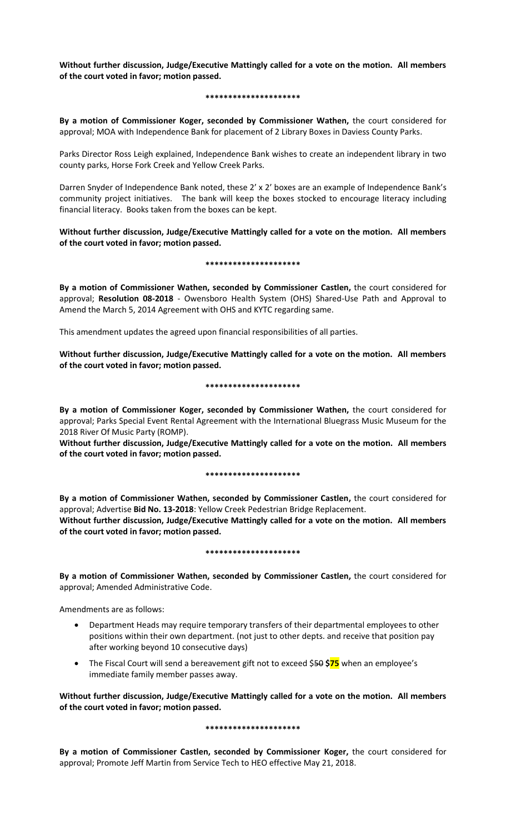**Without further discussion, Judge/Executive Mattingly called for a vote on the motion. All members of the court voted in favor; motion passed.** 

#### **\*\*\*\*\*\*\*\*\*\*\*\*\*\*\*\*\*\*\*\*\***

**By a motion of Commissioner Koger, seconded by Commissioner Wathen,** the court considered for approval; MOA with Independence Bank for placement of 2 Library Boxes in Daviess County Parks.

Parks Director Ross Leigh explained, Independence Bank wishes to create an independent library in two county parks, Horse Fork Creek and Yellow Creek Parks.

Darren Snyder of Independence Bank noted, these 2' x 2' boxes are an example of Independence Bank's community project initiatives. The bank will keep the boxes stocked to encourage literacy including financial literacy. Books taken from the boxes can be kept.

**Without further discussion, Judge/Executive Mattingly called for a vote on the motion. All members of the court voted in favor; motion passed.** 

## **\*\*\*\*\*\*\*\*\*\*\*\*\*\*\*\*\*\*\*\*\***

**By a motion of Commissioner Wathen, seconded by Commissioner Castlen,** the court considered for approval; **Resolution 08-2018** - Owensboro Health System (OHS) Shared-Use Path and Approval to Amend the March 5, 2014 Agreement with OHS and KYTC regarding same.

This amendment updates the agreed upon financial responsibilities of all parties.

**Without further discussion, Judge/Executive Mattingly called for a vote on the motion. All members of the court voted in favor; motion passed.** 

## **\*\*\*\*\*\*\*\*\*\*\*\*\*\*\*\*\*\*\*\*\***

**By a motion of Commissioner Koger, seconded by Commissioner Wathen,** the court considered for approval; Parks Special Event Rental Agreement with the International Bluegrass Music Museum for the 2018 River Of Music Party (ROMP).

**Without further discussion, Judge/Executive Mattingly called for a vote on the motion. All members of the court voted in favor; motion passed.** 

## **\*\*\*\*\*\*\*\*\*\*\*\*\*\*\*\*\*\*\*\*\***

**By a motion of Commissioner Wathen, seconded by Commissioner Castlen,** the court considered for approval; Advertise **Bid No. 13-2018**: Yellow Creek Pedestrian Bridge Replacement. **Without further discussion, Judge/Executive Mattingly called for a vote on the motion. All members of the court voted in favor; motion passed.** 

## **\*\*\*\*\*\*\*\*\*\*\*\*\*\*\*\*\*\*\*\*\***

**By a motion of Commissioner Wathen, seconded by Commissioner Castlen,** the court considered for approval; Amended Administrative Code.

Amendments are as follows:

- Department Heads may require temporary transfers of their departmental employees to other positions within their own department. (not just to other depts. and receive that position pay after working beyond 10 consecutive days)
- The Fiscal Court will send a bereavement gift not to exceed \$50 **\$75** when an employee's immediate family member passes away.

**Without further discussion, Judge/Executive Mattingly called for a vote on the motion. All members of the court voted in favor; motion passed.** 

## **\*\*\*\*\*\*\*\*\*\*\*\*\*\*\*\*\*\*\*\*\***

**By a motion of Commissioner Castlen, seconded by Commissioner Koger,** the court considered for approval; Promote Jeff Martin from Service Tech to HEO effective May 21, 2018.